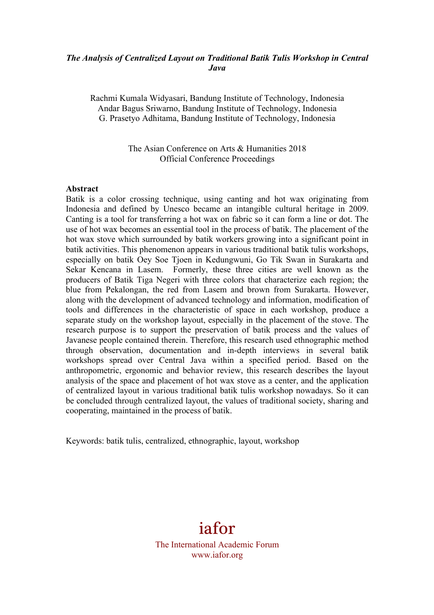### *The Analysis of Centralized Layout on Traditional Batik Tulis Workshop in Central Java*

Rachmi Kumala Widyasari, Bandung Institute of Technology, Indonesia Andar Bagus Sriwarno, Bandung Institute of Technology, Indonesia G. Prasetyo Adhitama, Bandung Institute of Technology, Indonesia

> The Asian Conference on Arts & Humanities 2018 Official Conference Proceedings

#### **Abstract**

Batik is a color crossing technique, using canting and hot wax originating from Indonesia and defined by Unesco became an intangible cultural heritage in 2009. Canting is a tool for transferring a hot wax on fabric so it can form a line or dot. The use of hot wax becomes an essential tool in the process of batik. The placement of the hot wax stove which surrounded by batik workers growing into a significant point in batik activities. This phenomenon appears in various traditional batik tulis workshops, especially on batik Oey Soe Tjoen in Kedungwuni, Go Tik Swan in Surakarta and Sekar Kencana in Lasem. Formerly, these three cities are well known as the producers of Batik Tiga Negeri with three colors that characterize each region; the blue from Pekalongan, the red from Lasem and brown from Surakarta. However, along with the development of advanced technology and information, modification of tools and differences in the characteristic of space in each workshop, produce a separate study on the workshop layout, especially in the placement of the stove. The research purpose is to support the preservation of batik process and the values of Javanese people contained therein. Therefore, this research used ethnographic method through observation, documentation and in-depth interviews in several batik workshops spread over Central Java within a specified period. Based on the anthropometric, ergonomic and behavior review, this research describes the layout analysis of the space and placement of hot wax stove as a center, and the application of centralized layout in various traditional batik tulis workshop nowadays. So it can be concluded through centralized layout, the values of traditional society, sharing and cooperating, maintained in the process of batik.

Keywords: batik tulis, centralized, ethnographic, layout, workshop

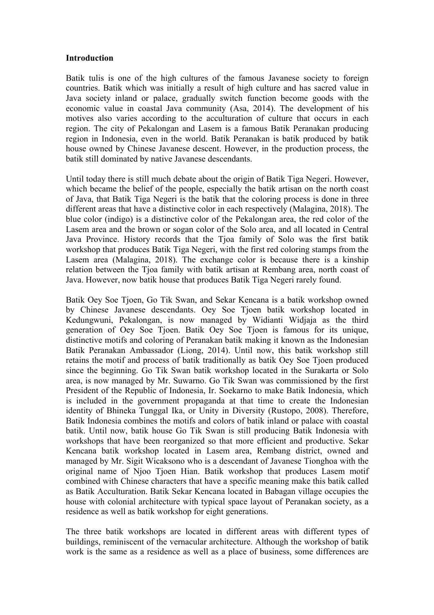#### **Introduction**

Batik tulis is one of the high cultures of the famous Javanese society to foreign countries. Batik which was initially a result of high culture and has sacred value in Java society inland or palace, gradually switch function become goods with the economic value in coastal Java community (Asa, 2014). The development of his motives also varies according to the acculturation of culture that occurs in each region. The city of Pekalongan and Lasem is a famous Batik Peranakan producing region in Indonesia, even in the world. Batik Peranakan is batik produced by batik house owned by Chinese Javanese descent. However, in the production process, the batik still dominated by native Javanese descendants.

Until today there is still much debate about the origin of Batik Tiga Negeri. However, which became the belief of the people, especially the batik artisan on the north coast of Java, that Batik Tiga Negeri is the batik that the coloring process is done in three different areas that have a distinctive color in each respectively (Malagina, 2018). The blue color (indigo) is a distinctive color of the Pekalongan area, the red color of the Lasem area and the brown or sogan color of the Solo area, and all located in Central Java Province. History records that the Tjoa family of Solo was the first batik workshop that produces Batik Tiga Negeri, with the first red coloring stamps from the Lasem area (Malagina, 2018). The exchange color is because there is a kinship relation between the Tjoa family with batik artisan at Rembang area, north coast of Java. However, now batik house that produces Batik Tiga Negeri rarely found.

Batik Oey Soe Tjoen, Go Tik Swan, and Sekar Kencana is a batik workshop owned by Chinese Javanese descendants. Oey Soe Tjoen batik workshop located in Kedungwuni, Pekalongan, is now managed by Widianti Widjaja as the third generation of Oey Soe Tjoen. Batik Oey Soe Tjoen is famous for its unique, distinctive motifs and coloring of Peranakan batik making it known as the Indonesian Batik Peranakan Ambassador (Liong, 2014). Until now, this batik workshop still retains the motif and process of batik traditionally as batik Oey Soe Tjoen produced since the beginning. Go Tik Swan batik workshop located in the Surakarta or Solo area, is now managed by Mr. Suwarno. Go Tik Swan was commissioned by the first President of the Republic of Indonesia, Ir. Soekarno to make Batik Indonesia, which is included in the government propaganda at that time to create the Indonesian identity of Bhineka Tunggal Ika, or Unity in Diversity (Rustopo, 2008). Therefore, Batik Indonesia combines the motifs and colors of batik inland or palace with coastal batik. Until now, batik house Go Tik Swan is still producing Batik Indonesia with workshops that have been reorganized so that more efficient and productive. Sekar Kencana batik workshop located in Lasem area, Rembang district, owned and managed by Mr. Sigit Wicaksono who is a descendant of Javanese Tionghoa with the original name of Njoo Tjoen Hian. Batik workshop that produces Lasem motif combined with Chinese characters that have a specific meaning make this batik called as Batik Acculturation. Batik Sekar Kencana located in Babagan village occupies the house with colonial architecture with typical space layout of Peranakan society, as a residence as well as batik workshop for eight generations.

The three batik workshops are located in different areas with different types of buildings, reminiscent of the vernacular architecture. Although the workshop of batik work is the same as a residence as well as a place of business, some differences are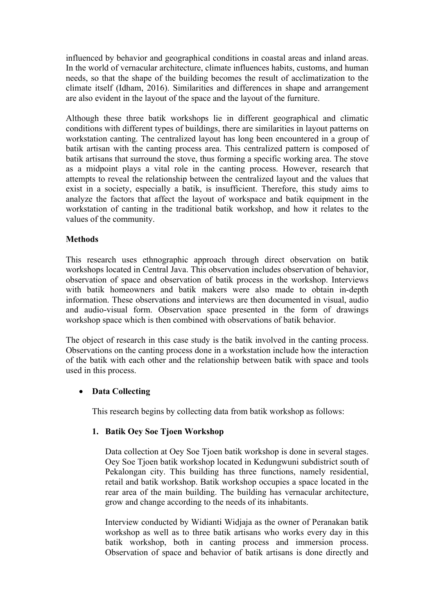influenced by behavior and geographical conditions in coastal areas and inland areas. In the world of vernacular architecture, climate influences habits, customs, and human needs, so that the shape of the building becomes the result of acclimatization to the climate itself (Idham, 2016). Similarities and differences in shape and arrangement are also evident in the layout of the space and the layout of the furniture.

Although these three batik workshops lie in different geographical and climatic conditions with different types of buildings, there are similarities in layout patterns on workstation canting. The centralized layout has long been encountered in a group of batik artisan with the canting process area. This centralized pattern is composed of batik artisans that surround the stove, thus forming a specific working area. The stove as a midpoint plays a vital role in the canting process. However, research that attempts to reveal the relationship between the centralized layout and the values that exist in a society, especially a batik, is insufficient. Therefore, this study aims to analyze the factors that affect the layout of workspace and batik equipment in the workstation of canting in the traditional batik workshop, and how it relates to the values of the community.

### **Methods**

This research uses ethnographic approach through direct observation on batik workshops located in Central Java. This observation includes observation of behavior, observation of space and observation of batik process in the workshop. Interviews with batik homeowners and batik makers were also made to obtain in-depth information. These observations and interviews are then documented in visual, audio and audio-visual form. Observation space presented in the form of drawings workshop space which is then combined with observations of batik behavior.

The object of research in this case study is the batik involved in the canting process. Observations on the canting process done in a workstation include how the interaction of the batik with each other and the relationship between batik with space and tools used in this process.

# • **Data Collecting**

This research begins by collecting data from batik workshop as follows:

### **1. Batik Oey Soe Tjoen Workshop**

Data collection at Oey Soe Tjoen batik workshop is done in several stages. Oey Soe Tjoen batik workshop located in Kedungwuni subdistrict south of Pekalongan city. This building has three functions, namely residential, retail and batik workshop. Batik workshop occupies a space located in the rear area of the main building. The building has vernacular architecture, grow and change according to the needs of its inhabitants.

Interview conducted by Widianti Widjaja as the owner of Peranakan batik workshop as well as to three batik artisans who works every day in this batik workshop, both in canting process and immersion process. Observation of space and behavior of batik artisans is done directly and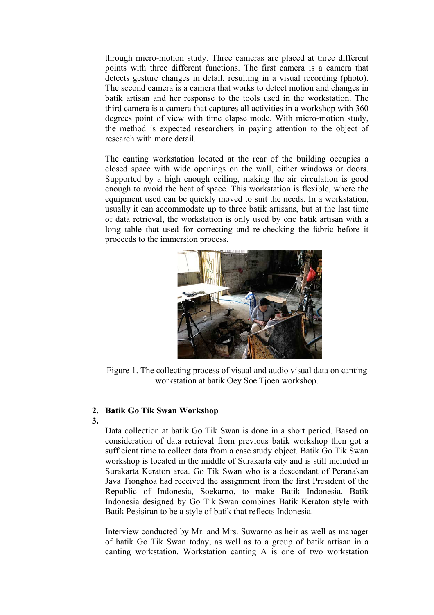through micro-motion study. Three cameras are placed at three different points with three different functions. The first camera is a camera that detects gesture changes in detail, resulting in a visual recording (photo). The second camera is a camera that works to detect motion and changes in batik artisan and her response to the tools used in the workstation. The third camera is a camera that captures all activities in a workshop with 360 degrees point of view with time elapse mode. With micro-motion study, the method is expected researchers in paying attention to the object of research with more detail.

The canting workstation located at the rear of the building occupies a closed space with wide openings on the wall, either windows or doors. Supported by a high enough ceiling, making the air circulation is good enough to avoid the heat of space. This workstation is flexible, where the equipment used can be quickly moved to suit the needs. In a workstation, usually it can accommodate up to three batik artisans, but at the last time of data retrieval, the workstation is only used by one batik artisan with a long table that used for correcting and re-checking the fabric before it proceeds to the immersion process.



Figure 1. The collecting process of visual and audio visual data on canting workstation at batik Oey Soe Tjoen workshop.

### **2. Batik Go Tik Swan Workshop**

**3.**

Data collection at batik Go Tik Swan is done in a short period. Based on consideration of data retrieval from previous batik workshop then got a sufficient time to collect data from a case study object. Batik Go Tik Swan workshop is located in the middle of Surakarta city and is still included in Surakarta Keraton area. Go Tik Swan who is a descendant of Peranakan Java Tionghoa had received the assignment from the first President of the Republic of Indonesia, Soekarno, to make Batik Indonesia. Batik Indonesia designed by Go Tik Swan combines Batik Keraton style with Batik Pesisiran to be a style of batik that reflects Indonesia.

Interview conducted by Mr. and Mrs. Suwarno as heir as well as manager of batik Go Tik Swan today, as well as to a group of batik artisan in a canting workstation. Workstation canting A is one of two workstation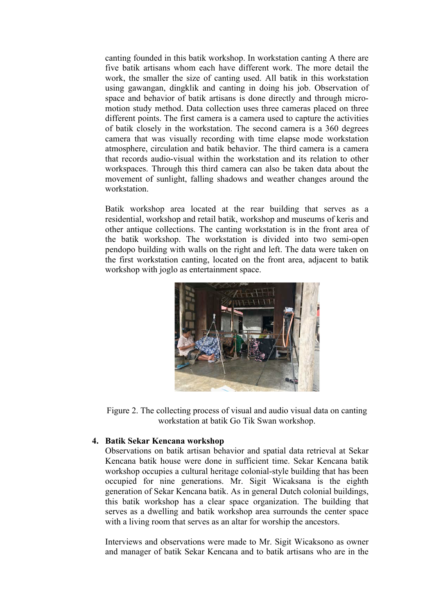canting founded in this batik workshop. In workstation canting A there are five batik artisans whom each have different work. The more detail the work, the smaller the size of canting used. All batik in this workstation using gawangan, dingklik and canting in doing his job. Observation of space and behavior of batik artisans is done directly and through micromotion study method. Data collection uses three cameras placed on three different points. The first camera is a camera used to capture the activities of batik closely in the workstation. The second camera is a 360 degrees camera that was visually recording with time elapse mode workstation atmosphere, circulation and batik behavior. The third camera is a camera that records audio-visual within the workstation and its relation to other workspaces. Through this third camera can also be taken data about the movement of sunlight, falling shadows and weather changes around the workstation.

Batik workshop area located at the rear building that serves as a residential, workshop and retail batik, workshop and museums of keris and other antique collections. The canting workstation is in the front area of the batik workshop. The workstation is divided into two semi-open pendopo building with walls on the right and left. The data were taken on the first workstation canting, located on the front area, adjacent to batik workshop with joglo as entertainment space.



Figure 2. The collecting process of visual and audio visual data on canting workstation at batik Go Tik Swan workshop.

### **4. Batik Sekar Kencana workshop**

Observations on batik artisan behavior and spatial data retrieval at Sekar Kencana batik house were done in sufficient time. Sekar Kencana batik workshop occupies a cultural heritage colonial-style building that has been occupied for nine generations. Mr. Sigit Wicaksana is the eighth generation of Sekar Kencana batik. As in general Dutch colonial buildings, this batik workshop has a clear space organization. The building that serves as a dwelling and batik workshop area surrounds the center space with a living room that serves as an altar for worship the ancestors.

Interviews and observations were made to Mr. Sigit Wicaksono as owner and manager of batik Sekar Kencana and to batik artisans who are in the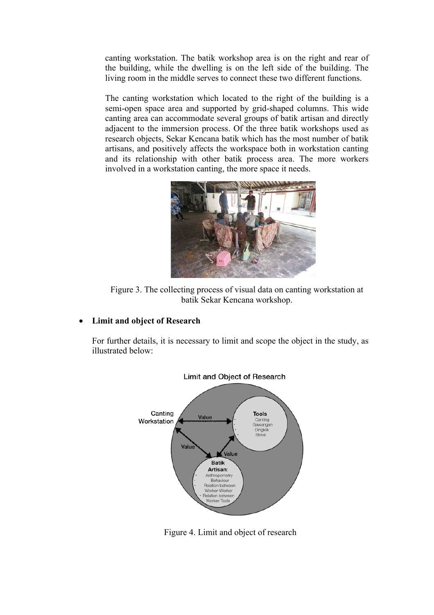canting workstation. The batik workshop area is on the right and rear of the building, while the dwelling is on the left side of the building. The living room in the middle serves to connect these two different functions.

The canting workstation which located to the right of the building is a semi-open space area and supported by grid-shaped columns. This wide canting area can accommodate several groups of batik artisan and directly adjacent to the immersion process. Of the three batik workshops used as research objects, Sekar Kencana batik which has the most number of batik artisans, and positively affects the workspace both in workstation canting and its relationship with other batik process area. The more workers involved in a workstation canting, the more space it needs.



Figure 3. The collecting process of visual data on canting workstation at batik Sekar Kencana workshop.

### • **Limit and object of Research**

For further details, it is necessary to limit and scope the object in the study, as illustrated below:



Figure 4. Limit and object of research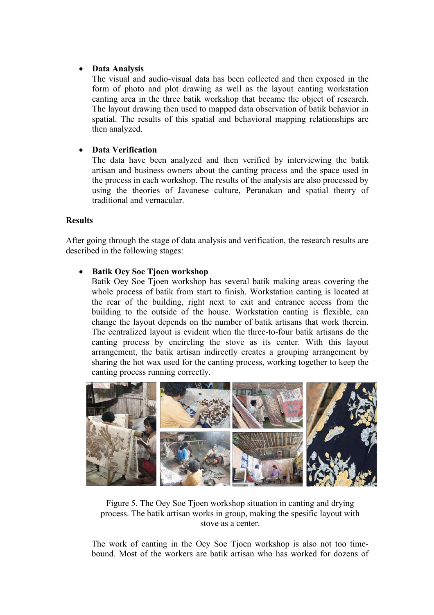## • **Data Analysis**

The visual and audio-visual data has been collected and then exposed in the form of photo and plot drawing as well as the layout canting workstation canting area in the three batik workshop that became the object of research. The layout drawing then used to mapped data observation of batik behavior in spatial. The results of this spatial and behavioral mapping relationships are then analyzed.

## • **Data Verification**

The data have been analyzed and then verified by interviewing the batik artisan and business owners about the canting process and the space used in the process in each workshop. The results of the analysis are also processed by using the theories of Javanese culture, Peranakan and spatial theory of traditional and vernacular.

### **Results**

After going through the stage of data analysis and verification, the research results are described in the following stages:

### • **Batik Oey Soe Tjoen workshop**

Batik Oey Soe Tjoen workshop has several batik making areas covering the whole process of batik from start to finish. Workstation canting is located at the rear of the building, right next to exit and entrance access from the building to the outside of the house. Workstation canting is flexible, can change the layout depends on the number of batik artisans that work therein. The centralized layout is evident when the three-to-four batik artisans do the canting process by encircling the stove as its center. With this layout arrangement, the batik artisan indirectly creates a grouping arrangement by sharing the hot wax used for the canting process, working together to keep the canting process running correctly.



Figure 5. The Oey Soe Tjoen workshop situation in canting and drying process. The batik artisan works in group, making the spesific layout with stove as a center.

The work of canting in the Oey Soe Tjoen workshop is also not too timebound. Most of the workers are batik artisan who has worked for dozens of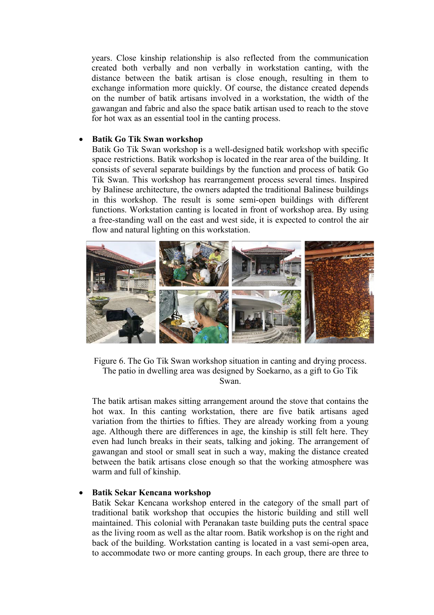years. Close kinship relationship is also reflected from the communication created both verbally and non verbally in workstation canting, with the distance between the batik artisan is close enough, resulting in them to exchange information more quickly. Of course, the distance created depends on the number of batik artisans involved in a workstation, the width of the gawangan and fabric and also the space batik artisan used to reach to the stove for hot wax as an essential tool in the canting process.

### • **Batik Go Tik Swan workshop**

Batik Go Tik Swan workshop is a well-designed batik workshop with specific space restrictions. Batik workshop is located in the rear area of the building. It consists of several separate buildings by the function and process of batik Go Tik Swan. This workshop has rearrangement process several times. Inspired by Balinese architecture, the owners adapted the traditional Balinese buildings in this workshop. The result is some semi-open buildings with different functions. Workstation canting is located in front of workshop area. By using a free-standing wall on the east and west side, it is expected to control the air flow and natural lighting on this workstation.



Figure 6. The Go Tik Swan workshop situation in canting and drying process. The patio in dwelling area was designed by Soekarno, as a gift to Go Tik Swan.

The batik artisan makes sitting arrangement around the stove that contains the hot wax. In this canting workstation, there are five batik artisans aged variation from the thirties to fifties. They are already working from a young age. Although there are differences in age, the kinship is still felt here. They even had lunch breaks in their seats, talking and joking. The arrangement of gawangan and stool or small seat in such a way, making the distance created between the batik artisans close enough so that the working atmosphere was warm and full of kinship.

### • **Batik Sekar Kencana workshop**

Batik Sekar Kencana workshop entered in the category of the small part of traditional batik workshop that occupies the historic building and still well maintained. This colonial with Peranakan taste building puts the central space as the living room as well as the altar room. Batik workshop is on the right and back of the building. Workstation canting is located in a vast semi-open area, to accommodate two or more canting groups. In each group, there are three to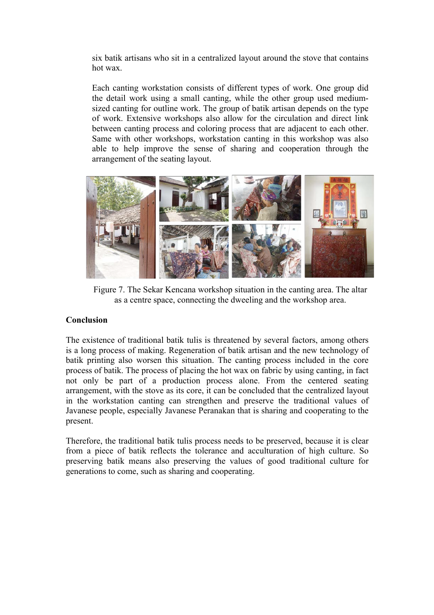six batik artisans who sit in a centralized layout around the stove that contains hot wax.

Each canting workstation consists of different types of work. One group did the detail work using a small canting, while the other group used mediumsized canting for outline work. The group of batik artisan depends on the type of work. Extensive workshops also allow for the circulation and direct link between canting process and coloring process that are adjacent to each other. Same with other workshops, workstation canting in this workshop was also able to help improve the sense of sharing and cooperation through the arrangement of the seating layout.



Figure 7. The Sekar Kencana workshop situation in the canting area. The altar as a centre space, connecting the dweeling and the workshop area.

# **Conclusion**

The existence of traditional batik tulis is threatened by several factors, among others is a long process of making. Regeneration of batik artisan and the new technology of batik printing also worsen this situation. The canting process included in the core process of batik. The process of placing the hot wax on fabric by using canting, in fact not only be part of a production process alone. From the centered seating arrangement, with the stove as its core, it can be concluded that the centralized layout in the workstation canting can strengthen and preserve the traditional values of Javanese people, especially Javanese Peranakan that is sharing and cooperating to the present.

Therefore, the traditional batik tulis process needs to be preserved, because it is clear from a piece of batik reflects the tolerance and acculturation of high culture. So preserving batik means also preserving the values of good traditional culture for generations to come, such as sharing and cooperating.